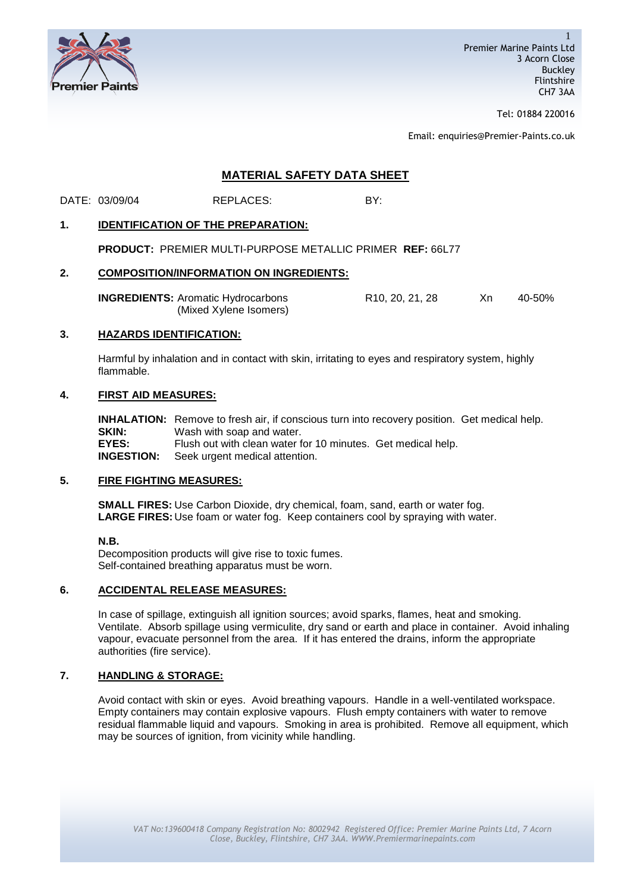

Tel: 01884 220016

Email: enquiries@Premier-Paints.co.uk

# **MATERIAL SAFETY DATA SHEET**

DATE: 03/09/04 REPLACES: BY:

## **1. IDENTIFICATION OF THE PREPARATION:**

**PRODUCT:** PREMIER MULTI-PURPOSE METALLIC PRIMER **REF:** 66L77

## **2. COMPOSITION/INFORMATION ON INGREDIENTS:**

| <b>INGREDIENTS: Aromatic Hydrocarbons</b> | R <sub>10</sub> , 20, 21, 28 | Χn | 40-50% |
|-------------------------------------------|------------------------------|----|--------|
| (Mixed Xylene Isomers)                    |                              |    |        |

### **3. HAZARDS IDENTIFICATION:**

Harmful by inhalation and in contact with skin, irritating to eyes and respiratory system, highly flammable.

## **4. FIRST AID MEASURES:**

**INHALATION:** Remove to fresh air, if conscious turn into recovery position. Get medical help. **SKIN:** Wash with soap and water. **EYES:** Flush out with clean water for 10 minutes. Get medical help. **INGESTION:** Seek urgent medical attention.

# **5. FIRE FIGHTING MEASURES:**

**SMALL FIRES:** Use Carbon Dioxide, dry chemical, foam, sand, earth or water fog. **LARGE FIRES:** Use foam or water fog. Keep containers cool by spraying with water.

### **N.B.**

Decomposition products will give rise to toxic fumes. Self-contained breathing apparatus must be worn.

# **6. ACCIDENTAL RELEASE MEASURES:**

In case of spillage, extinguish all ignition sources; avoid sparks, flames, heat and smoking. Ventilate. Absorb spillage using vermiculite, dry sand or earth and place in container. Avoid inhaling vapour, evacuate personnel from the area. If it has entered the drains, inform the appropriate authorities (fire service).

## **7. HANDLING & STORAGE:**

Avoid contact with skin or eyes. Avoid breathing vapours. Handle in a well-ventilated workspace. Empty containers may contain explosive vapours. Flush empty containers with water to remove residual flammable liquid and vapours. Smoking in area is prohibited. Remove all equipment, which may be sources of ignition, from vicinity while handling.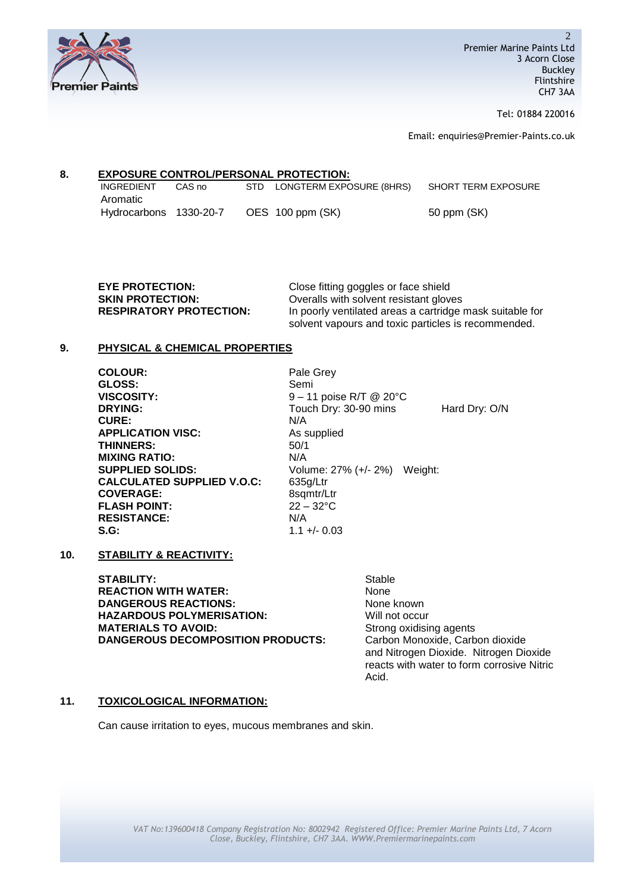

Tel: 01884 220016

Email: enquiries@Premier-Paints.co.uk

# **8. EXPOSURE CONTROL/PERSONAL PROTECTION:**

| <b>INGREDIENT</b>      | CAS no | STD LONGTERM EXPOSURE (8HRS) | SHORT TERM EXPOSURE |
|------------------------|--------|------------------------------|---------------------|
| Aromatic               |        |                              |                     |
| Hydrocarbons 1330-20-7 |        | OES 100 ppm (SK)             | 50 ppm (SK)         |

| <b>EYE PROTECTION:</b>         | Close fitting goggles or face shield                                                                            |
|--------------------------------|-----------------------------------------------------------------------------------------------------------------|
| <b>SKIN PROTECTION:</b>        | Overalls with solvent resistant gloves                                                                          |
| <b>RESPIRATORY PROTECTION:</b> | In poorly ventilated areas a cartridge mask suitable for<br>solvent vapours and toxic particles is recommended. |

## **9. PHYSICAL & CHEMICAL PROPERTIES**

| <b>COLOUR:</b>                    | Pale Grey                            |               |
|-----------------------------------|--------------------------------------|---------------|
| GLOSS:                            | Semi                                 |               |
| <b>VISCOSITY:</b>                 | $9 - 11$ poise R/T @ 20 $^{\circ}$ C |               |
| <b>DRYING:</b>                    | Touch Dry: 30-90 mins                | Hard Dry: O/N |
| <b>CURE:</b>                      | N/A                                  |               |
| <b>APPLICATION VISC:</b>          | As supplied                          |               |
| <b>THINNERS:</b>                  | 50/1                                 |               |
| <b>MIXING RATIO:</b>              | N/A                                  |               |
| <b>SUPPLIED SOLIDS:</b>           | Volume: 27% (+/- 2%) Weight:         |               |
| <b>CALCULATED SUPPLIED V.O.C:</b> | 635g/Ltr                             |               |
| <b>COVERAGE:</b>                  | 8sqmtr/Ltr                           |               |
| <b>FLASH POINT:</b>               | $22 - 32$ °C                         |               |
| <b>RESISTANCE:</b>                | N/A                                  |               |
| S.G:                              | $1.1 + (-0.03)$                      |               |
|                                   |                                      |               |

**10. STABILITY & REACTIVITY:**

STABILITY: Stable **REACTION WITH WATER:** None **DANGEROUS REACTIONS:** None known **HAZARDOUS POLYMERISATION:** Will not occur **MATERIALS TO AVOID:** Strong oxidising agents<br> **DANGEROUS DECOMPOSITION PRODUCTS:** Carbon Monoxide, Carbon dioxide **DANGEROUS DECOMPOSITION PRODUCTS:** 

and Nitrogen Dioxide. Nitrogen Dioxide reacts with water to form corrosive Nitric Acid.

## **11. TOXICOLOGICAL INFORMATION:**

Can cause irritation to eyes, mucous membranes and skin.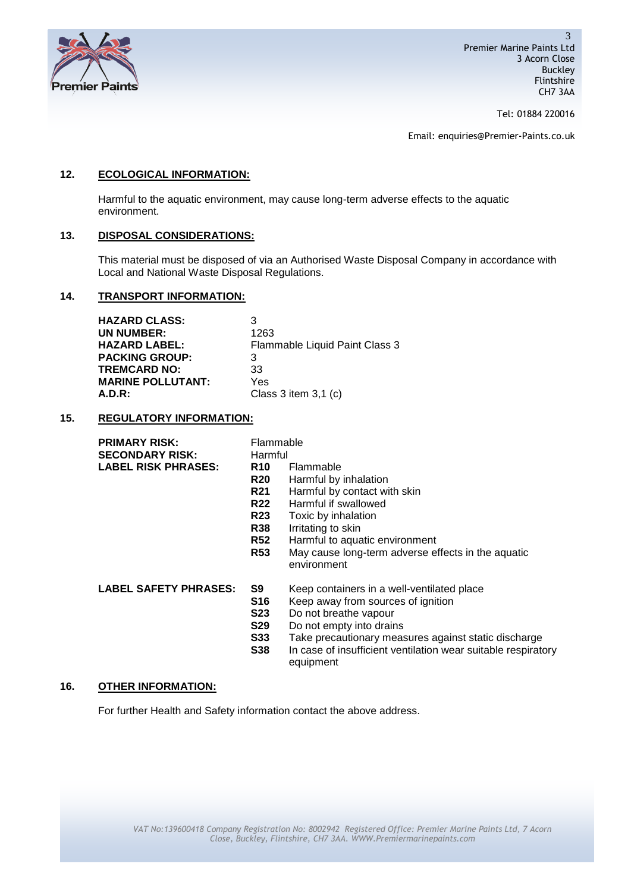

Tel: 01884 220016

Email: enquiries@Premier-Paints.co.uk

## **12. ECOLOGICAL INFORMATION:**

Harmful to the aquatic environment, may cause long-term adverse effects to the aquatic environment.

## **13. DISPOSAL CONSIDERATIONS:**

This material must be disposed of via an Authorised Waste Disposal Company in accordance with Local and National Waste Disposal Regulations.

## **14. TRANSPORT INFORMATION:**

| <b>HAZARD CLASS:</b>     | ว                              |
|--------------------------|--------------------------------|
| UN NUMBER:               | 1263                           |
| <b>HAZARD LABEL:</b>     | Flammable Liquid Paint Class 3 |
| <b>PACKING GROUP:</b>    | 3                              |
| <b>TREMCARD NO:</b>      | 33                             |
| <b>MARINE POLLUTANT:</b> | Yes                            |
| $A.D.R$ :                | Class 3 item $3,1$ (c)         |

### **15. REGULATORY INFORMATION:**

| <b>PRIMARY RISK:</b>       | Flammable  |           |
|----------------------------|------------|-----------|
| <b>SECONDARY RISK:</b>     | Harmful    |           |
| <b>LABEL RISK PHRASES:</b> | <b>R10</b> | Flammable |

| Flammable                                          |
|----------------------------------------------------|
| Harmful                                            |
| Flammable                                          |
| Harmful by inhalation                              |
| Harmful by contact with skin                       |
| Harmful if swallowed                               |
| Toxic by inhalation                                |
| Irritating to skin                                 |
| Harmful to aquatic environment                     |
| May cause long-term adverse effects in the aquatic |
| environment                                        |
|                                                    |

**LABEL SAFETY PHRASES: S9** Keep containers in a well-ventilated place

- - **S16** Keep away from sources of ignition
- **S23** Do not breathe vapour<br>**S29** Do not empty into drain
- **S29** Do not empty into drains
- **S33** Take precautionary measures against static discharge
- **S38** In case of insufficient ventilation wear suitable respiratory equipment

### **16. OTHER INFORMATION:**

For further Health and Safety information contact the above address.